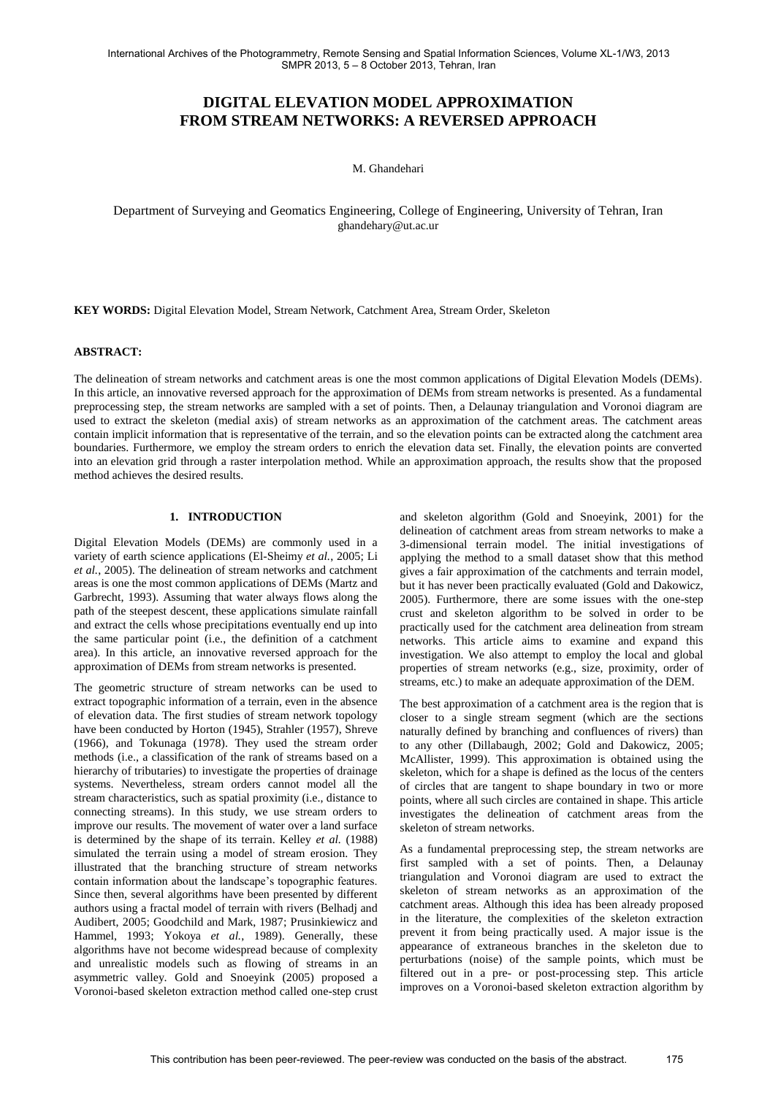International Archives of the Photogrammetry, Remote Sensing and Spatial Information Sciences, Volume XL-1/W3, 2013 SMPR 2013, 5 – 8 October 2013, Tehran, Iran

# **DIGITAL ELEVATION MODEL APPROXIMATION FROM STREAM NETWORKS: A REVERSED APPROACH**

M. Ghandehari

Department of Surveying and Geomatics Engineering, College of Engineering, University of Tehran, Iran ghandehary@ut.ac.ur

**KEY WORDS:** Digital Elevation Model, Stream Network, Catchment Area, Stream Order, Skeleton

#### **ABSTRACT:**

The delineation of stream networks and catchment areas is one the most common applications of Digital Elevation Models (DEMs). In this article, an innovative reversed approach for the approximation of DEMs from stream networks is presented. As a fundamental preprocessing step, the stream networks are sampled with a set of points. Then, a Delaunay triangulation and Voronoi diagram are used to extract the skeleton (medial axis) of stream networks as an approximation of the catchment areas. The catchment areas contain implicit information that is representative of the terrain, and so the elevation points can be extracted along the catchment area boundaries. Furthermore, we employ the stream orders to enrich the elevation data set. Finally, the elevation points are converted into an elevation grid through a raster interpolation method. While an approximation approach, the results show that the proposed method achieves the desired results.

### **1. INTRODUCTION**

Digital Elevation Models (DEMs) are commonly used in a variety of earth science applications (El-Sheimy *et al.*, 2005; Li *et al.*, 2005). The delineation of stream networks and catchment areas is one the most common applications of DEMs (Martz and Garbrecht, 1993). Assuming that water always flows along the path of the steepest descent, these applications simulate rainfall and extract the cells whose precipitations eventually end up into the same particular point (i.e., the definition of a catchment area). In this article, an innovative reversed approach for the approximation of DEMs from stream networks is presented.

The geometric structure of stream networks can be used to extract topographic information of a terrain, even in the absence of elevation data. The first studies of stream network topology have been conducted by Horton (1945), Strahler (1957), Shreve (1966), and Tokunaga (1978). They used the stream order methods (i.e., a classification of the rank of streams based on a hierarchy of tributaries) to investigate the properties of drainage systems. Nevertheless, stream orders cannot model all the stream characteristics, such as spatial proximity (i.e., distance to connecting streams). In this study, we use stream orders to improve our results. The movement of water over a land surface is determined by the shape of its terrain. Kelley *et al.* (1988) simulated the terrain using a model of stream erosion. They illustrated that the branching structure of stream networks contain information about the landscape"s topographic features. Since then, several algorithms have been presented by different authors using a fractal model of terrain with rivers (Belhadj and Audibert, 2005; Goodchild and Mark, 1987; Prusinkiewicz and Hammel, 1993; Yokoya *et al.*, 1989). Generally, these algorithms have not become widespread because of complexity and unrealistic models such as flowing of streams in an asymmetric valley. Gold and Snoeyink (2005) proposed a Voronoi-based skeleton extraction method called one-step crust and skeleton algorithm (Gold and Snoeyink, 2001) for the delineation of catchment areas from stream networks to make a 3-dimensional terrain model. The initial investigations of applying the method to a small dataset show that this method gives a fair approximation of the catchments and terrain model, but it has never been practically evaluated (Gold and Dakowicz, 2005). Furthermore, there are some issues with the one-step crust and skeleton algorithm to be solved in order to be practically used for the catchment area delineation from stream networks. This article aims to examine and expand this investigation. We also attempt to employ the local and global properties of stream networks (e.g., size, proximity, order of streams, etc.) to make an adequate approximation of the DEM.

The best approximation of a catchment area is the region that is closer to a single stream segment (which are the sections naturally defined by branching and confluences of rivers) than to any other (Dillabaugh, 2002; Gold and Dakowicz, 2005; McAllister, 1999). This approximation is obtained using the skeleton, which for a shape is defined as the locus of the centers of circles that are tangent to shape boundary in two or more points, where all such circles are contained in shape. This article investigates the delineation of catchment areas from the skeleton of stream networks.

As a fundamental preprocessing step, the stream networks are first sampled with a set of points. Then, a Delaunay triangulation and Voronoi diagram are used to extract the skeleton of stream networks as an approximation of the catchment areas. Although this idea has been already proposed in the literature, the complexities of the skeleton extraction prevent it from being practically used. A major issue is the appearance of extraneous branches in the skeleton due to perturbations (noise) of the sample points, which must be filtered out in a pre- or post-processing step. This article improves on a Voronoi-based skeleton extraction algorithm by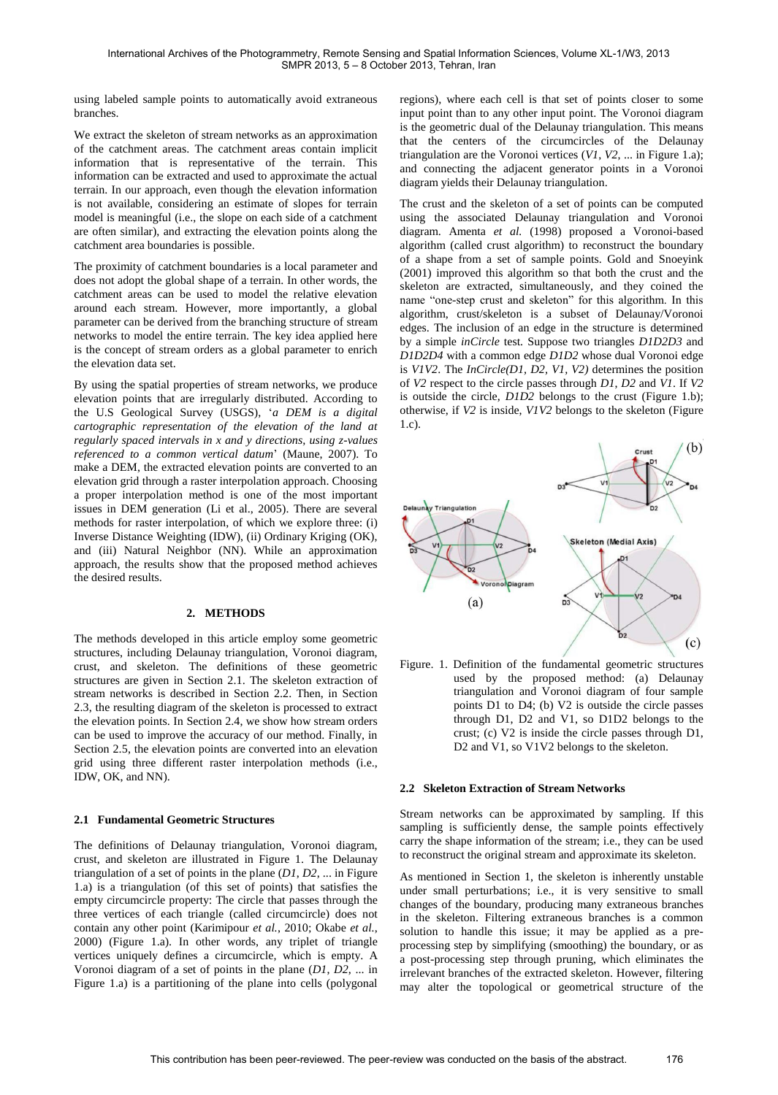using labeled sample points to automatically avoid extraneous branches.

We extract the skeleton of stream networks as an approximation of the catchment areas. The catchment areas contain implicit information that is representative of the terrain. This information can be extracted and used to approximate the actual terrain. In our approach, even though the elevation information is not available, considering an estimate of slopes for terrain model is meaningful (i.e., the slope on each side of a catchment are often similar), and extracting the elevation points along the catchment area boundaries is possible.

The proximity of catchment boundaries is a local parameter and does not adopt the global shape of a terrain. In other words, the catchment areas can be used to model the relative elevation around each stream. However, more importantly, a global parameter can be derived from the branching structure of stream networks to model the entire terrain. The key idea applied here is the concept of stream orders as a global parameter to enrich the elevation data set.

By using the spatial properties of stream networks, we produce elevation points that are irregularly distributed. According to the U.S Geological Survey (USGS), "*a DEM is a digital cartographic representation of the elevation of the land at regularly spaced intervals in x and y directions, using z-values referenced to a common vertical datum*" (Maune, 2007). To make a DEM, the extracted elevation points are converted to an elevation grid through a raster interpolation approach. Choosing a proper interpolation method is one of the most important issues in DEM generation (Li et al., 2005). There are several methods for raster interpolation, of which we explore three: (i) Inverse Distance Weighting (IDW), (ii) Ordinary Kriging (OK), and (iii) Natural Neighbor (NN). While an approximation approach, the results show that the proposed method achieves the desired results.

### **2. METHODS**

The methods developed in this article employ some geometric structures, including Delaunay triangulation, Voronoi diagram, crust, and skeleton. The definitions of these geometric structures are given in Section 2.1. The skeleton extraction of stream networks is described in Section 2.2. Then, in Section 2.3, the resulting diagram of the skeleton is processed to extract the elevation points. In Section 2.4, we show how stream orders can be used to improve the accuracy of our method. Finally, in Section 2.5, the elevation points are converted into an elevation grid using three different raster interpolation methods (i.e., IDW, OK, and NN).

### **2.1 Fundamental Geometric Structures**

The definitions of Delaunay triangulation, Voronoi diagram, crust, and skeleton are illustrated in Figure 1. The Delaunay triangulation of a set of points in the plane (*D1*, *D2*, ... in Figure 1.a) is a triangulation (of this set of points) that satisfies the empty circumcircle property: The circle that passes through the three vertices of each triangle (called circumcircle) does not contain any other point (Karimipour *et al.*, 2010; Okabe *et al.*, 2000) (Figure 1.a). In other words, any triplet of triangle vertices uniquely defines a circumcircle, which is empty. A Voronoi diagram of a set of points in the plane (*D1*, *D2*, ... in Figure 1.a) is a partitioning of the plane into cells (polygonal regions), where each cell is that set of points closer to some input point than to any other input point. The Voronoi diagram is the geometric dual of the Delaunay triangulation. This means that the centers of the circumcircles of the Delaunay triangulation are the Voronoi vertices (*V1*, *V2*, ... in Figure 1.a); and connecting the adjacent generator points in a Voronoi diagram yields their Delaunay triangulation.

The crust and the skeleton of a set of points can be computed using the associated Delaunay triangulation and Voronoi diagram. Amenta *et al.* (1998) proposed a Voronoi-based algorithm (called crust algorithm) to reconstruct the boundary of a shape from a set of sample points. Gold and Snoeyink (2001) improved this algorithm so that both the crust and the skeleton are extracted, simultaneously, and they coined the name "one-step crust and skeleton" for this algorithm. In this algorithm, crust/skeleton is a subset of Delaunay/Voronoi edges. The inclusion of an edge in the structure is determined by a simple *inCircle* test. Suppose two triangles *D1D2D3* and *D1D2D4* with a common edge *D1D2* whose dual Voronoi edge is *V1V2*. The *InCircle(D1, D2, V1, V2)* determines the position of *V2* respect to the circle passes through *D1*, *D2* and *V1*. If *V2* is outside the circle, *D1D2* belongs to the crust (Figure 1.b); otherwise, if *V2* is inside, *V1V2* belongs to the skeleton (Figure 1.c).



Figure. 1. Definition of the fundamental geometric structures used by the proposed method: (a) Delaunay triangulation and Voronoi diagram of four sample points D1 to D4; (b) V2 is outside the circle passes through D1, D2 and V1, so D1D2 belongs to the crust; (c) V2 is inside the circle passes through D1, D<sub>2</sub> and V<sub>1</sub>, so V<sub>1</sub>V<sub>2</sub> belongs to the skeleton.

#### **2.2 Skeleton Extraction of Stream Networks**

Stream networks can be approximated by sampling. If this sampling is sufficiently dense, the sample points effectively carry the shape information of the stream; i.e., they can be used to reconstruct the original stream and approximate its skeleton.

As mentioned in Section 1, the skeleton is inherently unstable under small perturbations; i.e., it is very sensitive to small changes of the boundary, producing many extraneous branches in the skeleton. Filtering extraneous branches is a common solution to handle this issue; it may be applied as a preprocessing step by simplifying (smoothing) the boundary, or as a post-processing step through pruning, which eliminates the irrelevant branches of the extracted skeleton. However, filtering may alter the topological or geometrical structure of the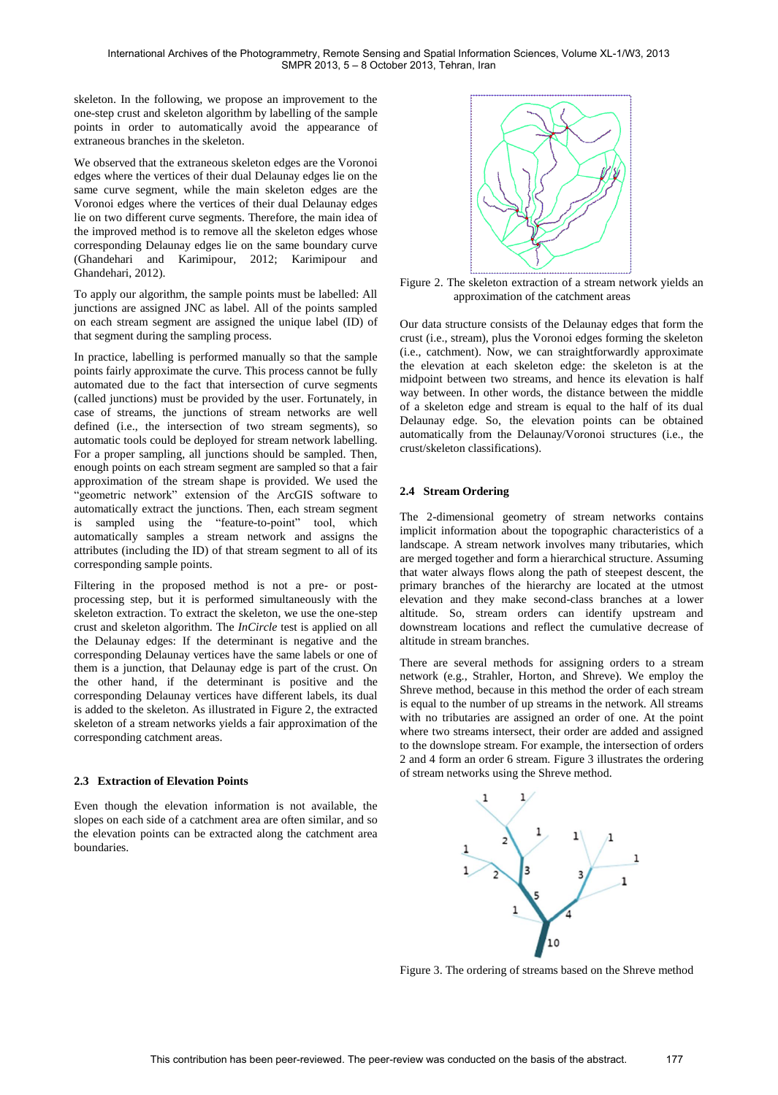skeleton. In the following, we propose an improvement to the one-step crust and skeleton algorithm by labelling of the sample points in order to automatically avoid the appearance of extraneous branches in the skeleton.

We observed that the extraneous skeleton edges are the Voronoi edges where the vertices of their dual Delaunay edges lie on the same curve segment, while the main skeleton edges are the Voronoi edges where the vertices of their dual Delaunay edges lie on two different curve segments. Therefore, the main idea of the improved method is to remove all the skeleton edges whose corresponding Delaunay edges lie on the same boundary curve (Ghandehari and Karimipour, 2012; Karimipour and Ghandehari, 2012).

To apply our algorithm, the sample points must be labelled: All junctions are assigned JNC as label. All of the points sampled on each stream segment are assigned the unique label (ID) of that segment during the sampling process.

In practice, labelling is performed manually so that the sample points fairly approximate the curve. This process cannot be fully automated due to the fact that intersection of curve segments (called junctions) must be provided by the user. Fortunately, in case of streams, the junctions of stream networks are well defined (i.e., the intersection of two stream segments), so automatic tools could be deployed for stream network labelling. For a proper sampling, all junctions should be sampled. Then, enough points on each stream segment are sampled so that a fair approximation of the stream shape is provided. We used the "geometric network" extension of the ArcGIS software to automatically extract the junctions. Then, each stream segment is sampled using the "feature-to-point" tool, which automatically samples a stream network and assigns the attributes (including the ID) of that stream segment to all of its corresponding sample points.

Filtering in the proposed method is not a pre- or postprocessing step, but it is performed simultaneously with the skeleton extraction. To extract the skeleton, we use the one-step crust and skeleton algorithm. The *InCircle* test is applied on all the Delaunay edges: If the determinant is negative and the corresponding Delaunay vertices have the same labels or one of them is a junction, that Delaunay edge is part of the crust. On the other hand, if the determinant is positive and the corresponding Delaunay vertices have different labels, its dual is added to the skeleton. As illustrated in Figure 2, the extracted skeleton of a stream networks yields a fair approximation of the corresponding catchment areas.

### **2.3 Extraction of Elevation Points**

Even though the elevation information is not available, the slopes on each side of a catchment area are often similar, and so the elevation points can be extracted along the catchment area boundaries.



Figure 2. The skeleton extraction of a stream network yields an approximation of the catchment areas

Our data structure consists of the Delaunay edges that form the crust (i.e., stream), plus the Voronoi edges forming the skeleton (i.e., catchment). Now, we can straightforwardly approximate the elevation at each skeleton edge: the skeleton is at the midpoint between two streams, and hence its elevation is half way between. In other words, the distance between the middle of a skeleton edge and stream is equal to the half of its dual Delaunay edge. So, the elevation points can be obtained automatically from the Delaunay/Voronoi structures (i.e., the crust/skeleton classifications).

## **2.4 Stream Ordering**

The 2-dimensional geometry of stream networks contains implicit information about the topographic characteristics of a landscape. A stream network involves many tributaries, which are merged together and form a hierarchical structure. Assuming that water always flows along the path of steepest descent, the primary branches of the hierarchy are located at the utmost elevation and they make second-class branches at a lower altitude. So, stream orders can identify upstream and downstream locations and reflect the cumulative decrease of altitude in stream branches.

There are several methods for assigning orders to a stream network (e.g., Strahler, Horton, and Shreve). We employ the Shreve method, because in this method the order of each stream is equal to the number of up streams in the network. All streams with no tributaries are assigned an order of one. At the point where two streams intersect, their order are added and assigned to the downslope stream. For example, the intersection of orders 2 and 4 form an order 6 stream. Figure 3 illustrates the ordering of stream networks using the Shreve method.



Figure 3. The ordering of streams based on the Shreve method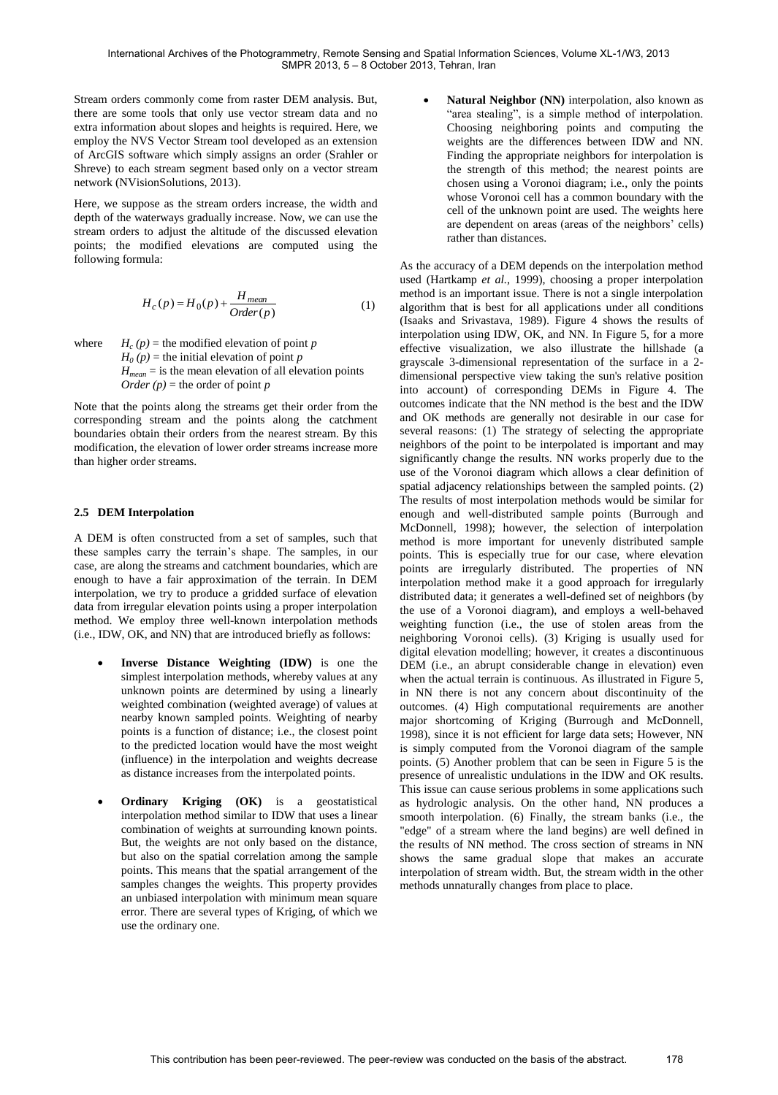Stream orders commonly come from raster DEM analysis. But, there are some tools that only use vector stream data and no extra information about slopes and heights is required. Here, we employ the NVS Vector Stream tool developed as an extension of ArcGIS software which simply assigns an order (Srahler or Shreve) to each stream segment based only on a vector stream network (NVisionSolutions, 2013).

Here, we suppose as the stream orders increase, the width and [depth](http://www.cotf.edu/ete/modules/waterq3/WQassess4d.html) of the waterways gradually increase. Now, we can use the stream orders to adjust the altitude of the discussed elevation points; the modified elevations are computed using the following formula:

$$
H_c(p) = H_0(p) + \frac{H_{mean}}{Order(p)}\tag{1}
$$

 $where$  $H_c(p)$  = the modified elevation of point *p*  $H_0(p)$  = the initial elevation of point *p*  $H_{mean}$  = is the mean elevation of all elevation points  $Order (p) =$  the order of point *p* 

Note that the points along the streams get their order from the corresponding stream and the points along the catchment boundaries obtain their orders from the nearest stream. By this modification, the elevation of lower order streams increase more than higher order streams.

### **2.5 DEM Interpolation**

A DEM is often constructed from a set of samples, such that these samples carry the terrain"s shape. The samples, in our case, are along the streams and catchment boundaries, which are enough to have a fair approximation of the terrain. In DEM interpolation, we try to produce a gridded surface of elevation data from irregular elevation points using a proper interpolation method. We employ three well-known interpolation methods (i.e., IDW, OK, and NN) that are introduced briefly as follows:

- **Inverse Distance Weighting (IDW)** is one the simplest interpolation methods, whereby values at any unknown points are determined by using a linearly weighted combination (weighted average) of values at nearby known sampled points. Weighting of nearby points is a function of distance; i.e., the closest point to the predicted location would have the most weight (influence) in the interpolation and weights decrease as distance increases from the interpolated points.
- **Ordinary Kriging (OK)** is a geostatistical interpolation method similar to IDW that uses a linear combination of weights at surrounding known points. But, the weights are not only based on the distance, but also on the spatial correlation among the sample points. This means that the spatial arrangement of the samples changes the weights. This property provides an unbiased interpolation with minimum mean square error. There are several types of Kriging, of which we use the ordinary one.

 **Natural Neighbor (NN)** interpolation, also known as "area stealing", is a simple method of interpolation. Choosing neighboring points and computing the weights are the differences between IDW and NN. Finding the appropriate neighbors for interpolation is the strength of this method; the nearest points are chosen using a Voronoi diagram; i.e., only the points whose Voronoi cell has a common boundary with the cell of the unknown point are used. The weights here are dependent on areas (areas of the neighbors' cells) rather than distances.

As the accuracy of a DEM depends on the interpolation method used (Hartkamp *et al.*, 1999), choosing a proper interpolation method is an important issue. There is not a single interpolation algorithm that is best for all applications under all conditions (Isaaks and Srivastava, 1989). Figure 4 shows the results of interpolation using IDW, OK, and NN. In Figure 5, for a more effective visualization, we also illustrate the hillshade (a grayscale 3-dimensional representation of the surface in a 2 dimensional perspective view taking the sun's relative position into account) of corresponding DEMs in Figure 4. The outcomes indicate that the NN method is the best and the IDW and OK methods are generally not desirable in our case for several reasons: (1) The strategy of selecting the appropriate neighbors of the point to be interpolated is important and may significantly change the results. NN works properly due to the use of the Voronoi diagram which allows a clear definition of spatial adjacency relationships between the sampled points. (2) The results of most interpolation methods would be similar for enough and well-distributed sample points (Burrough and McDonnell, 1998); however, the selection of interpolation method is more important for unevenly distributed sample points. This is especially true for our case, where elevation points are irregularly distributed. The properties of NN interpolation method make it a good approach for irregularly distributed data; it generates a well-defined set of neighbors (by the use of a Voronoi diagram), and employs a well-behaved weighting function (i.e., the use of stolen areas from the neighboring Voronoi cells). (3) Kriging is usually used for digital elevation modelling; however, it creates a discontinuous DEM (i.e., an abrupt considerable change in elevation) even when the actual terrain is continuous. As illustrated in Figure 5, in NN there is not any concern about discontinuity of the outcomes. (4) High computational requirements are another major shortcoming of Kriging (Burrough and McDonnell, 1998), since it is not efficient for large data sets; However, NN is simply computed from the Voronoi diagram of the sample points. (5) Another problem that can be seen in Figure 5 is the presence of unrealistic undulations in the IDW and OK results. This issue can cause serious problems in some applications such as hydrologic analysis. On the other hand, NN produces a smooth interpolation. (6) Finally, the stream banks (i.e., the "edge" of a stream where the land begins) are well defined in the results of NN method. The cross section of streams in NN shows the same gradual slope that makes an accurate interpolation of stream width. But, the stream width in the other methods unnaturally changes from place to place.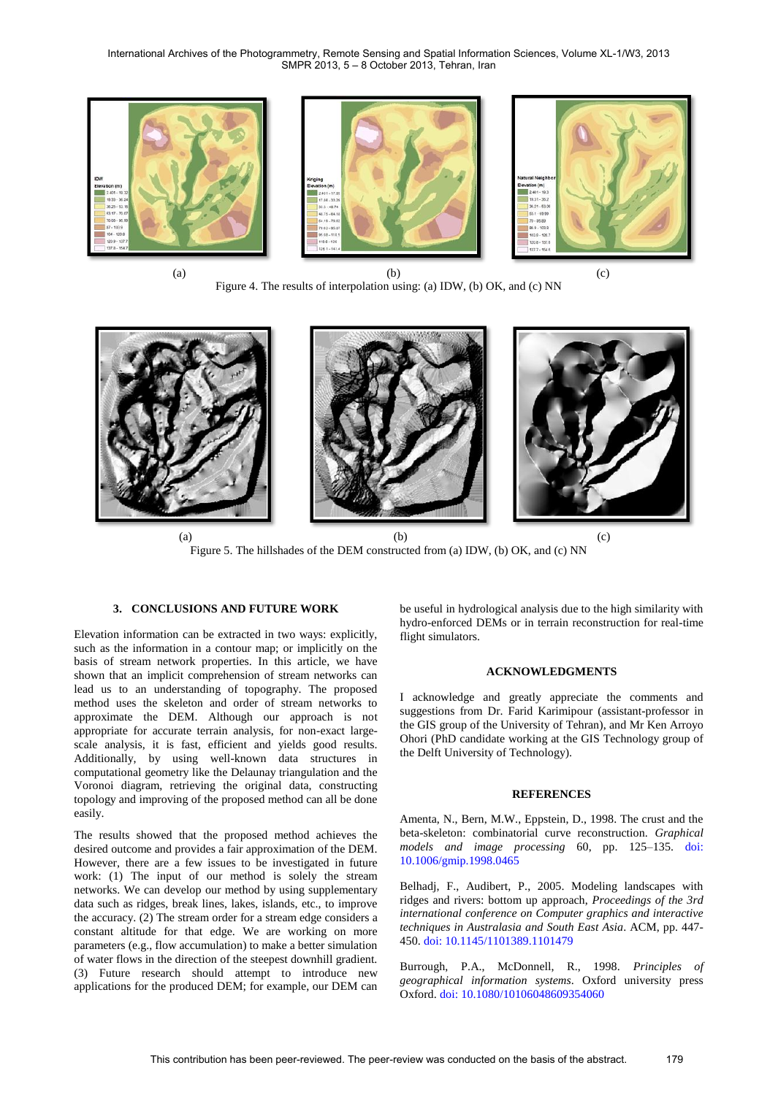International Archives of the Photogrammetry, Remote Sensing and Spatial Information Sciences, Volume XL-1/W3, 2013 SMPR 2013, 5 – 8 October 2013, Tehran, Iran



Figure 4. The results of interpolation using: (a) IDW, (b) OK, and (c) NN



Figure 5. The hillshades of the DEM constructed from (a) IDW, (b) OK, and (c) NN

## **3. CONCLUSIONS AND FUTURE WORK**

Elevation information can be extracted in two ways: explicitly, such as the information in a contour map; or implicitly on the basis of stream network properties. In this article, we have shown that an implicit comprehension of stream networks can lead us to an understanding of topography. The proposed method uses the skeleton and order of stream networks to approximate the DEM. Although our approach is not appropriate for accurate terrain analysis, for non-exact largescale analysis, it is fast, efficient and yields good results. Additionally, by using well-known data structures in computational geometry like the Delaunay triangulation and the Voronoi diagram, retrieving the original data, constructing topology and improving of the proposed method can all be done easily.

The results showed that the proposed method achieves the desired outcome and provides a fair approximation of the DEM. However, there are a few issues to be investigated in future work: (1) The input of our method is solely the stream networks. We can develop our method by using supplementary data such as ridges, break lines, lakes, islands, etc., to improve the accuracy. (2) The stream order for a stream edge considers a constant altitude for that edge. We are working on more parameters (e.g., flow accumulation) to make a better simulation of water flows in the direction of the steepest downhill gradient. (3) Future research should attempt to introduce new applications for the produced DEM; for example, our DEM can

be useful in hydrological analysis due to the high similarity with hydro-enforced DEMs or in terrain reconstruction for real-time flight simulators.

## **ACKNOWLEDGMENTS**

I acknowledge and greatly appreciate the comments and suggestions from Dr. Farid Karimipour (assistant-professor in the GIS group of the University of Tehran), and Mr Ken Arroyo Ohori (PhD candidate working at the GIS Technology group of the Delft University of Technology).

#### **REFERENCES**

Amenta, N., Bern, M.W., Eppstein, D., 1998. The crust and the beta-skeleton: combinatorial curve reconstruction. *Graphical models and image processing* 60, pp. 125–135. [doi:](http://dx.doi.org/10.1006/gmip.1998.0465)  [10.1006/gmip.1998.0465](http://dx.doi.org/10.1006/gmip.1998.0465)

Belhadj, F., Audibert, P., 2005. Modeling landscapes with ridges and rivers: bottom up approach, *Proceedings of the 3rd international conference on Computer graphics and interactive techniques in Australasia and South East Asia*. ACM, pp. 447- 450. [doi: 10.1145/1101389.1101479](http://dx.doi.org/10.1145/1101389.1101479)

Burrough, P.A., McDonnell, R., 1998. *Principles of geographical information systems*. Oxford university press Oxford. doi: [10.1080/10106048609354060](http://dx.doi.org/10.1080/10106048609354060)